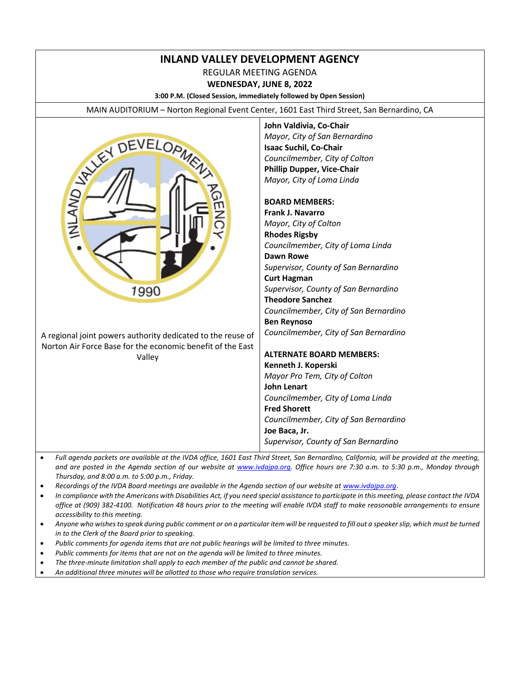# **INLAND VALLEY DEVELOPMENT AGENCY**

REGULAR MEETING AGENDA

**WEDNESDAY, JUNE 8, 2022**

**3:00 P.M. (Closed Session, immediately followed by Open Session)**

MAIN AUDITORIUM – Norton Regional Event Center, 1601 East Third Street, San Bernardino, CA



**John Valdivia, Co-Chair** *Mayor, City of San Bernardino* **Isaac Suchil, Co-Chair** *Councilmember, City of Colton* **Phillip Dupper, Vice-Chair** *Mayor, City of Loma Linda*

#### **BOARD MEMBERS:**

**Frank J. Navarro** *Mayor, City of Colton* **Rhodes Rigsby** *Councilmember, City of Loma Linda* **Dawn Rowe** *Supervisor, County of San Bernardino* **Curt Hagman** *Supervisor, County of San Bernardino* **Theodore Sanchez** *Councilmember, City of San Bernardino* **Ben Reynoso** *Councilmember, City of San Bernardino*

#### **ALTERNATE BOARD MEMBERS: Kenneth J. Koperski** *Mayor Pro Tem, City of Colton* **John Lenart** *Councilmember, City of Loma Linda* **Fred Shorett** *Councilmember, City of San Bernardino*

**Joe Baca, Jr.** *Supervisor, County of San Bernardino*

- *Full agenda packets are available at the IVDA office, 1601 East Third Street, San Bernardino, California, will be provided at the meeting, and are posted in the Agenda section of our website at [www.ivdajpa.org.](http://www.ivdajpa.org/) Office hours are 7:30 a.m. to 5:30 p.m., Monday through Thursday, and 8:00 a.m. to 5:00 p.m., Friday.*
- *Recordings of the IVDA Board meetings are available in the Agenda section of our website at [www.ivdajpa.org.](http://www.ivdajpa.org/)*
- *In compliance with the Americans with Disabilities Act, if you need special assistance to participate in this meeting, please contact the IVDA office at (909) 382-4100. Notification 48 hours prior to the meeting will enable IVDA staff to make reasonable arrangements to ensure accessibility to this meeting.*
- *Anyone who wishes to speak during public comment or on a particular item will be requested to fill out a speaker slip, which must be turned in to the Clerk of the Board prior to speaking.*
- *Public comments for agenda items that are not public hearings will be limited to three minutes.*
- *Public comments for items that are not on the agenda will be limited to three minutes.*
- *The three-minute limitation shall apply to each member of the public and cannot be shared.*
- *An additional three minutes will be allotted to those who require translation services.*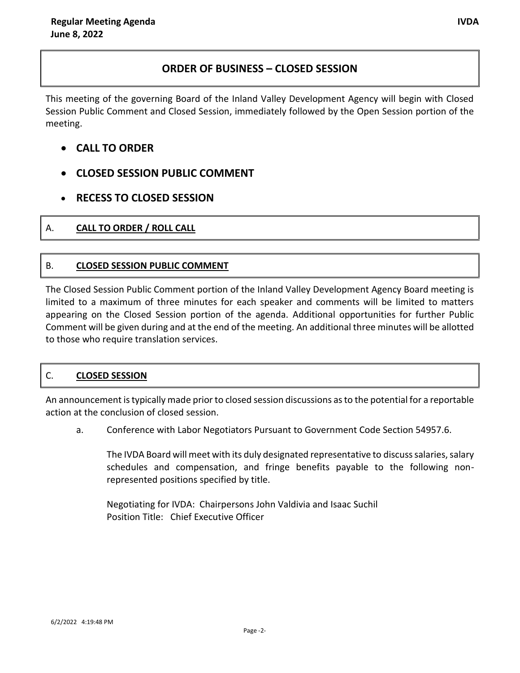# **ORDER OF BUSINESS – CLOSED SESSION**

This meeting of the governing Board of the Inland Valley Development Agency will begin with Closed Session Public Comment and Closed Session, immediately followed by the Open Session portion of the meeting.

- **CALL TO ORDER**
- **CLOSED SESSION PUBLIC COMMENT**
- **RECESS TO CLOSED SESSION**

# A. **CALL TO ORDER / ROLL CALL**

# B. **CLOSED SESSION PUBLIC COMMENT**

The Closed Session Public Comment portion of the Inland Valley Development Agency Board meeting is limited to a maximum of three minutes for each speaker and comments will be limited to matters appearing on the Closed Session portion of the agenda. Additional opportunities for further Public Comment will be given during and at the end of the meeting. An additional three minutes will be allotted to those who require translation services.

# C. **CLOSED SESSION**

An announcement is typically made prior to closed session discussions as to the potential for a reportable action at the conclusion of closed session.

a. Conference with Labor Negotiators Pursuant to Government Code Section 54957.6.

The IVDA Board will meet with its duly designated representative to discuss salaries, salary schedules and compensation, and fringe benefits payable to the following nonrepresented positions specified by title.

Negotiating for IVDA: Chairpersons John Valdivia and Isaac Suchil Position Title: Chief Executive Officer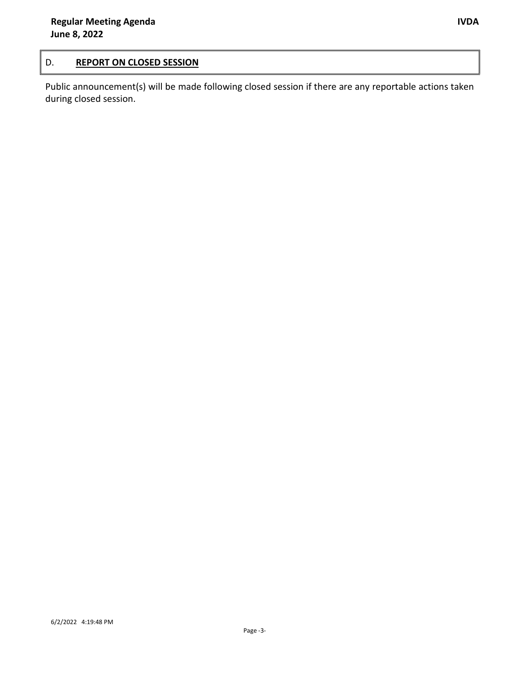## D. **REPORT ON CLOSED SESSION**

Public announcement(s) will be made following closed session if there are any reportable actions taken during closed session.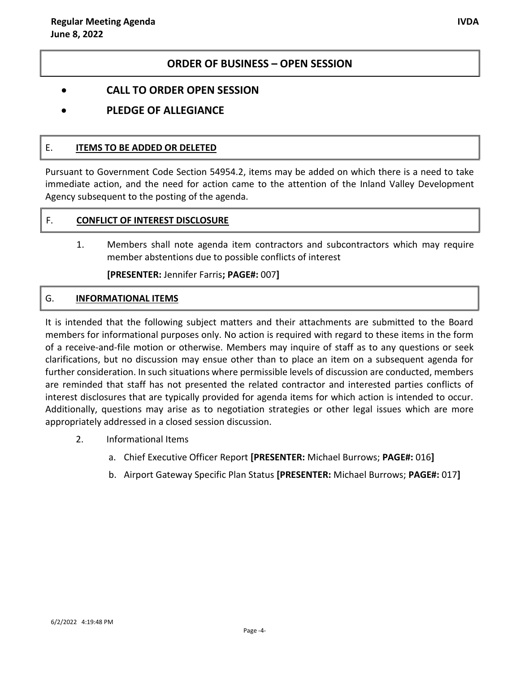### **ORDER OF BUSINESS – OPEN SESSION**

- **CALL TO ORDER OPEN SESSION**
- **PLEDGE OF ALLEGIANCE**

#### E. **ITEMS TO BE ADDED OR DELETED**

Pursuant to Government Code Section 54954.2, items may be added on which there is a need to take immediate action, and the need for action came to the attention of the Inland Valley Development Agency subsequent to the posting of the agenda.

#### F. **CONFLICT OF INTEREST DISCLOSURE**

1. Members shall note agenda item contractors and subcontractors which may require member abstentions due to possible conflicts of interest

**[PRESENTER:** Jennifer Farris**; PAGE#:** 007**]**

#### G. **INFORMATIONAL ITEMS**

It is intended that the following subject matters and their attachments are submitted to the Board members for informational purposes only. No action is required with regard to these items in the form of a receive-and-file motion or otherwise. Members may inquire of staff as to any questions or seek clarifications, but no discussion may ensue other than to place an item on a subsequent agenda for further consideration. In such situations where permissible levels of discussion are conducted, members are reminded that staff has not presented the related contractor and interested parties conflicts of interest disclosures that are typically provided for agenda items for which action is intended to occur. Additionally, questions may arise as to negotiation strategies or other legal issues which are more appropriately addressed in a closed session discussion.

- 2. Informational Items
	- a. Chief Executive Officer Report **[PRESENTER:** Michael Burrows; **PAGE#:** 016**]**
	- b. Airport Gateway Specific Plan Status **[PRESENTER:** Michael Burrows; **PAGE#:** 017**]**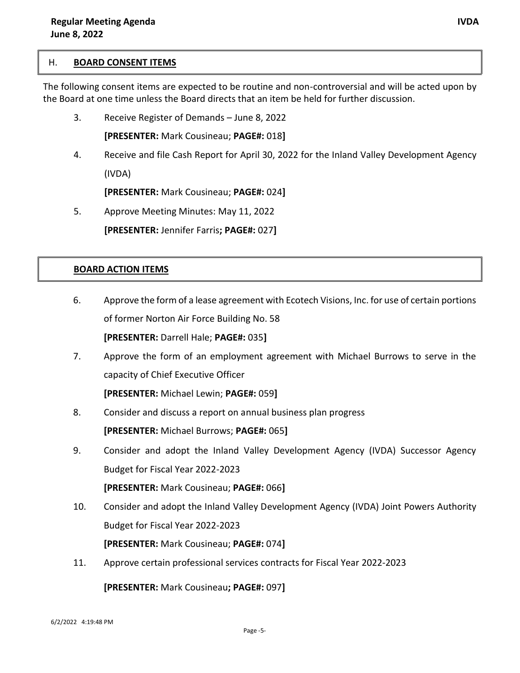#### H. **BOARD CONSENT ITEMS**

The following consent items are expected to be routine and non-controversial and will be acted upon by the Board at one time unless the Board directs that an item be held for further discussion.

3. Receive Register of Demands – June 8, 2022

**[PRESENTER:** Mark Cousineau; **PAGE#:** 018**]**

4. Receive and file Cash Report for April 30, 2022 for the Inland Valley Development Agency (IVDA)

**[PRESENTER:** Mark Cousineau; **PAGE#:** 024**]**

5. Approve Meeting Minutes: May 11, 2022

**[PRESENTER:** Jennifer Farris**; PAGE#:** 027**]**

#### **BOARD ACTION ITEMS**

- 6. Approve the form of a lease agreement with Ecotech Visions, Inc. for use of certain portions of former Norton Air Force Building No. 58 **[PRESENTER:** Darrell Hale; **PAGE#:** 035**]**
- 7. Approve the form of an employment agreement with Michael Burrows to serve in the capacity of Chief Executive Officer

**[PRESENTER:** Michael Lewin; **PAGE#:** 059**]**

- 8. Consider and discuss a report on annual business plan progress **[PRESENTER:** Michael Burrows; **PAGE#:** 065**]**
- 9. Consider and adopt the Inland Valley Development Agency (IVDA) Successor Agency Budget for Fiscal Year 2022-2023

**[PRESENTER:** Mark Cousineau; **PAGE#:** 066**]**

10. Consider and adopt the Inland Valley Development Agency (IVDA) Joint Powers Authority Budget for Fiscal Year 2022-2023

**[PRESENTER:** Mark Cousineau; **PAGE#:** 074**]**

11. Approve certain professional services contracts for Fiscal Year 2022-2023

**[PRESENTER:** Mark Cousineau**; PAGE#:** 097**]**